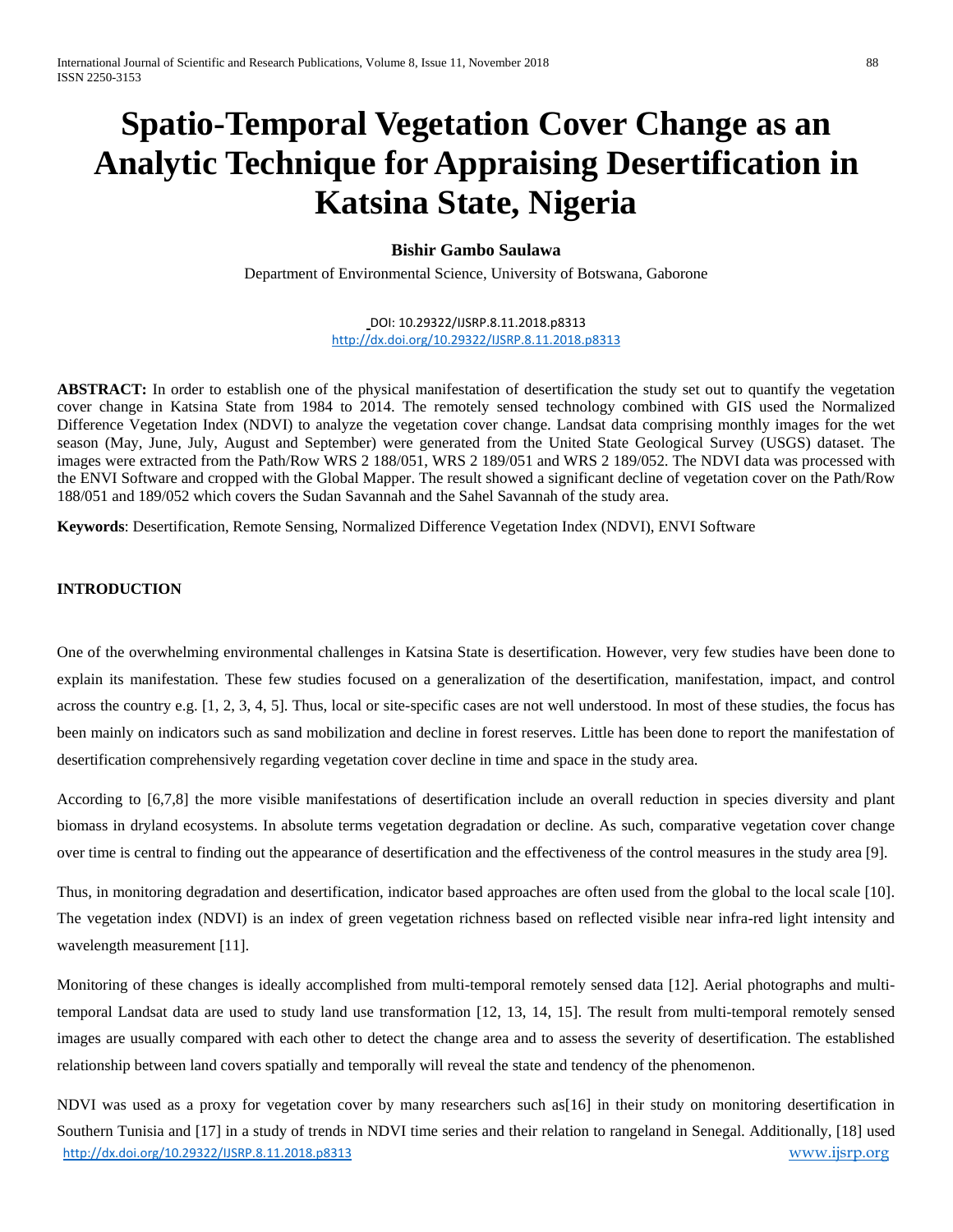# **Spatio-Temporal Vegetation Cover Change as an Analytic Technique for Appraising Desertification in Katsina State, Nigeria**

# **Bishir Gambo Saulawa**

Department of Environmental Science, University of Botswana, Gaborone

#### DOI: 10.29322/IJSRP.8.11.2018.p8313 <http://dx.doi.org/10.29322/IJSRP.8.11.2018.p8313>

**ABSTRACT:** In order to establish one of the physical manifestation of desertification the study set out to quantify the vegetation cover change in Katsina State from 1984 to 2014. The remotely sensed technology combined with GIS used the Normalized Difference Vegetation Index (NDVI) to analyze the vegetation cover change. Landsat data comprising monthly images for the wet season (May, June, July, August and September) were generated from the United State Geological Survey (USGS) dataset. The images were extracted from the Path/Row WRS 2 188/051, WRS 2 189/051 and WRS 2 189/052. The NDVI data was processed with the ENVI Software and cropped with the Global Mapper. The result showed a significant decline of vegetation cover on the Path/Row 188/051 and 189/052 which covers the Sudan Savannah and the Sahel Savannah of the study area.

**Keywords**: Desertification, Remote Sensing, Normalized Difference Vegetation Index (NDVI), ENVI Software

# **INTRODUCTION**

One of the overwhelming environmental challenges in Katsina State is desertification. However, very few studies have been done to explain its manifestation. These few studies focused on a generalization of the desertification, manifestation, impact, and control across the country e.g. [1, 2, 3, 4, 5]. Thus, local or site-specific cases are not well understood. In most of these studies, the focus has been mainly on indicators such as sand mobilization and decline in forest reserves. Little has been done to report the manifestation of desertification comprehensively regarding vegetation cover decline in time and space in the study area.

According to [6,7,8] the more visible manifestations of desertification include an overall reduction in species diversity and plant biomass in dryland ecosystems. In absolute terms vegetation degradation or decline. As such, comparative vegetation cover change over time is central to finding out the appearance of desertification and the effectiveness of the control measures in the study area [9].

Thus, in monitoring degradation and desertification, indicator based approaches are often used from the global to the local scale [10]. The vegetation index (NDVI) is an index of green vegetation richness based on reflected visible near infra-red light intensity and wavelength measurement [11].

Monitoring of these changes is ideally accomplished from multi-temporal remotely sensed data [12]. Aerial photographs and multitemporal Landsat data are used to study land use transformation [12, 13, 14, 15]. The result from multi-temporal remotely sensed images are usually compared with each other to detect the change area and to assess the severity of desertification. The established relationship between land covers spatially and temporally will reveal the state and tendency of the phenomenon.

<http://dx.doi.org/10.29322/IJSRP.8.11.2018.p8313> [www.ijsrp.org](http://ijsrp.org/) NDVI was used as a proxy for vegetation cover by many researchers such as[16] in their study on monitoring desertification in Southern Tunisia and [17] in a study of trends in NDVI time series and their relation to rangeland in Senegal. Additionally, [18] used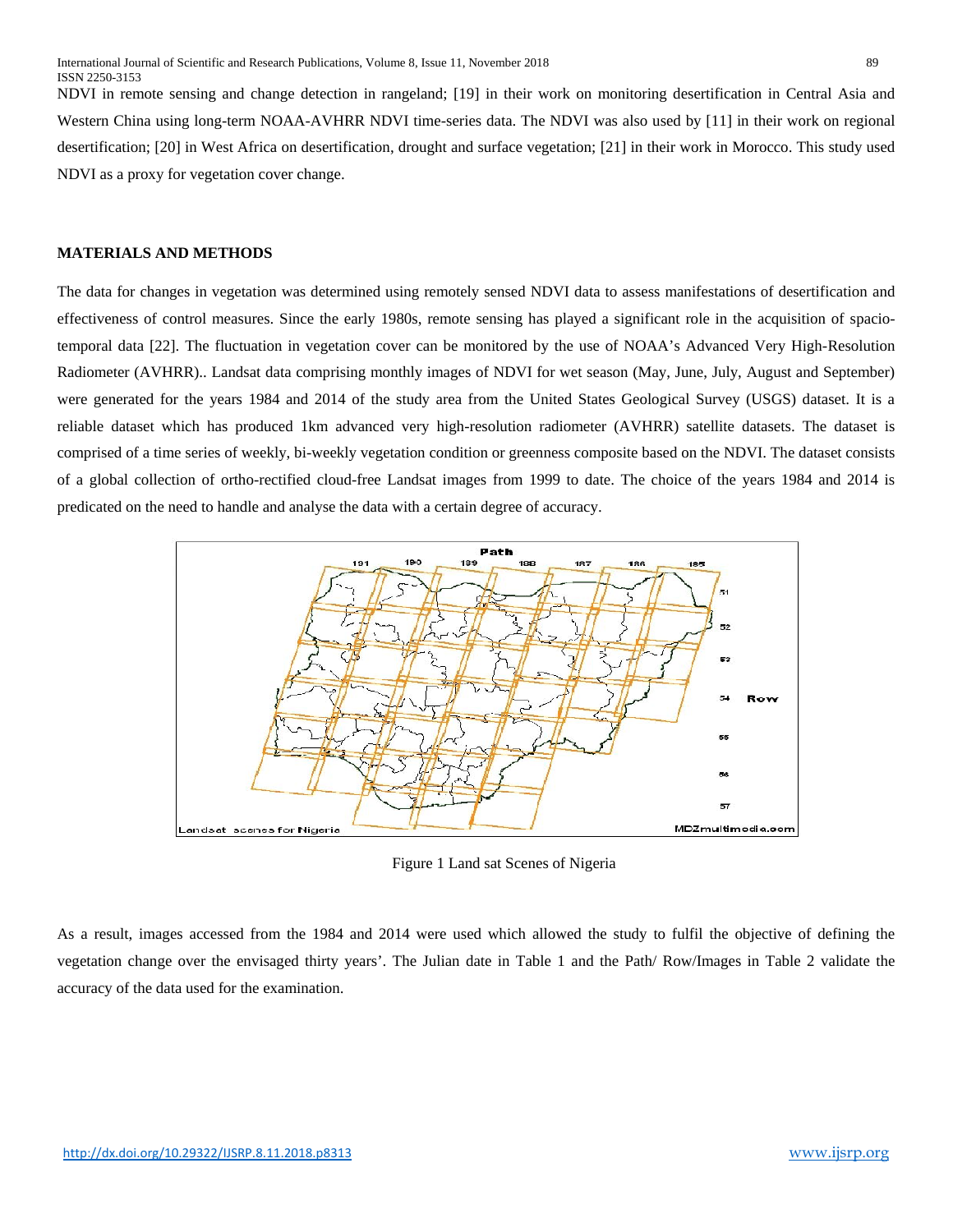NDVI in remote sensing and change detection in rangeland; [19] in their work on monitoring desertification in Central Asia and Western China using long-term NOAA-AVHRR NDVI time-series data. The NDVI was also used by [11] in their work on regional desertification; [20] in West Africa on desertification, drought and surface vegetation; [21] in their work in Morocco. This study used NDVI as a proxy for vegetation cover change.

# **MATERIALS AND METHODS**

The data for changes in vegetation was determined using remotely sensed NDVI data to assess manifestations of desertification and effectiveness of control measures. Since the early 1980s, remote sensing has played a significant role in the acquisition of spaciotemporal data [22]. The fluctuation in vegetation cover can be monitored by the use of NOAA's Advanced Very High-Resolution Radiometer (AVHRR).. Landsat data comprising monthly images of NDVI for wet season (May, June, July, August and September) were generated for the years 1984 and 2014 of the study area from the United States Geological Survey (USGS) dataset. It is a reliable dataset which has produced 1km advanced very high-resolution radiometer (AVHRR) satellite datasets. The dataset is comprised of a time series of weekly, bi-weekly vegetation condition or greenness composite based on the NDVI. The dataset consists of a global collection of ortho-rectified cloud-free Landsat images from 1999 to date. The choice of the years 1984 and 2014 is predicated on the need to handle and analyse the data with a certain degree of accuracy.



Figure 1 Land sat Scenes of Nigeria

As a result, images accessed from the 1984 and 2014 were used which allowed the study to fulfil the objective of defining the vegetation change over the envisaged thirty years'. The Julian date in Table 1 and the Path/ Row/Images in Table 2 validate the accuracy of the data used for the examination.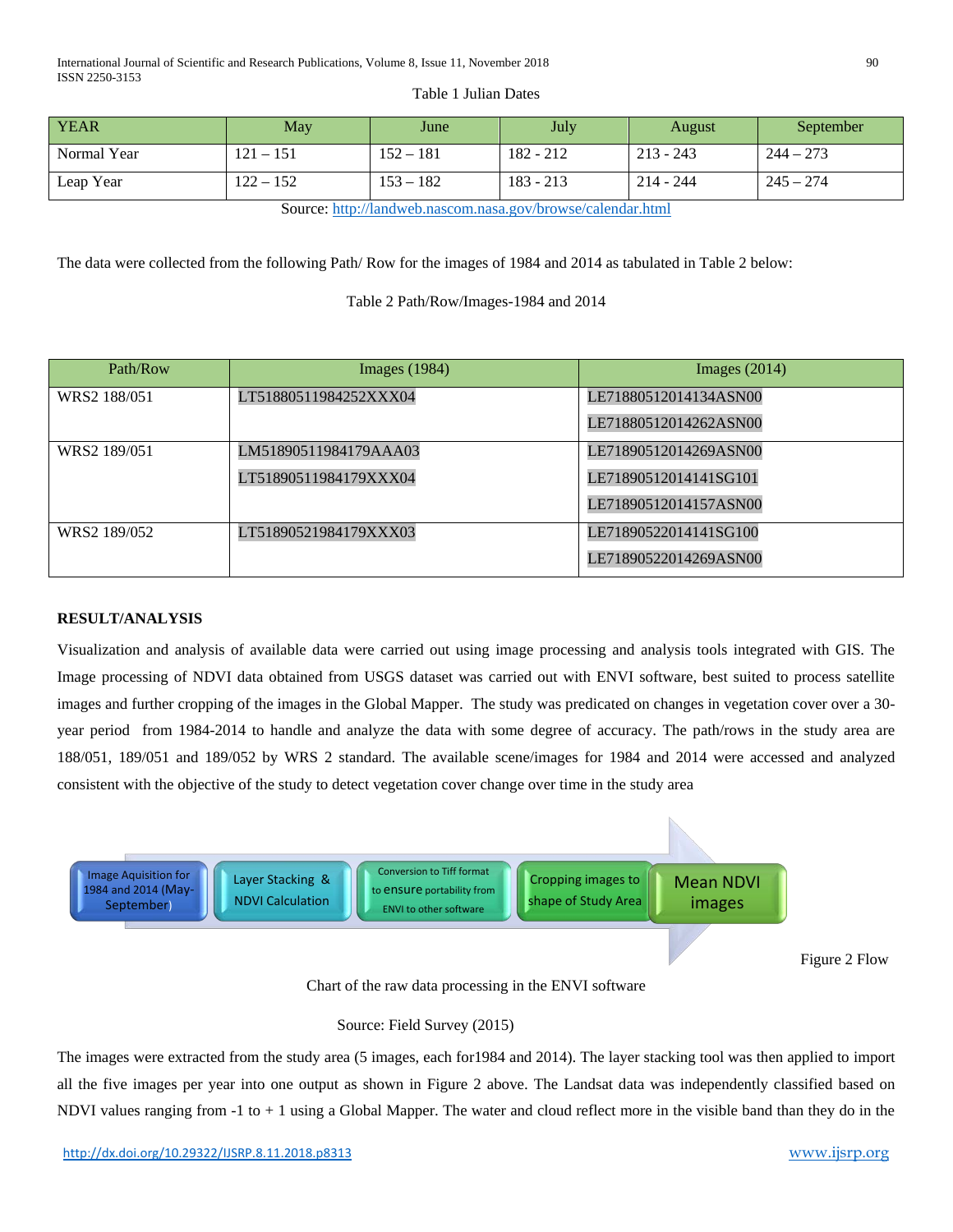#### Table 1 Julian Dates

| <b>YEAR</b> | May         | June        | <b>July</b> | August      | September   |
|-------------|-------------|-------------|-------------|-------------|-------------|
| Normal Year | $121 - 151$ | $152 - 181$ | 182 - 212   | $213 - 243$ | $244 - 273$ |
| Leap Year   | $122 - 152$ | $153 - 182$ | $183 - 213$ | $214 - 244$ | $245 - 274$ |

Source[: http://landweb.nascom.nasa.gov/browse/calendar.html](http://landweb.nascom.nasa.gov/browse/calendar.html)

The data were collected from the following Path/ Row for the images of 1984 and 2014 as tabulated in Table 2 below:

Table 2 Path/Row/Images-1984 and 2014

| Path/Row     | Images $(1984)$       | Images $(2014)$       |
|--------------|-----------------------|-----------------------|
| WRS2 188/051 | LT51880511984252XXX04 | LE71880512014134ASN00 |
|              |                       | LE71880512014262ASN00 |
| WRS2 189/051 | LM51890511984179AAA03 | LE71890512014269ASN00 |
|              | LT51890511984179XXX04 | LE71890512014141SG101 |
|              |                       | LE71890512014157ASN00 |
| WRS2 189/052 | LT51890521984179XXX03 | LE71890522014141SG100 |
|              |                       | LE71890522014269ASN00 |

## **RESULT/ANALYSIS**

Visualization and analysis of available data were carried out using image processing and analysis tools integrated with GIS. The Image processing of NDVI data obtained from USGS dataset was carried out with ENVI software, best suited to process satellite images and further cropping of the images in the Global Mapper. The study was predicated on changes in vegetation cover over a 30 year period from 1984-2014 to handle and analyze the data with some degree of accuracy. The path/rows in the study area are 188/051, 189/051 and 189/052 by WRS 2 standard. The available scene/images for 1984 and 2014 were accessed and analyzed consistent with the objective of the study to detect vegetation cover change over time in the study area



Chart of the raw data processing in the ENVI software

### Source: Field Survey (2015)

The images were extracted from the study area (5 images, each for1984 and 2014). The layer stacking tool was then applied to import all the five images per year into one output as shown in Figure 2 above. The Landsat data was independently classified based on NDVI values ranging from -1 to + 1 using a Global Mapper. The water and cloud reflect more in the visible band than they do in the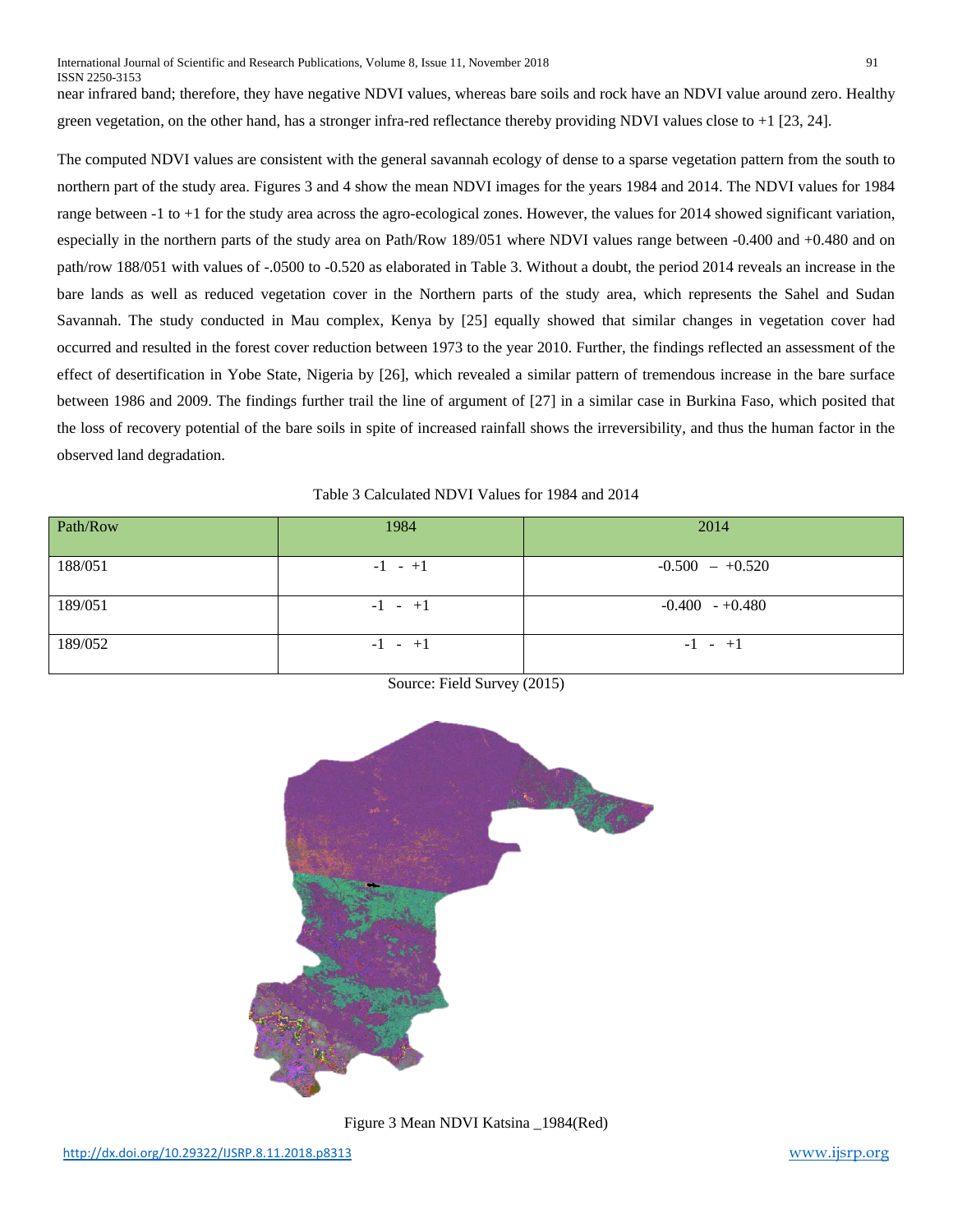near infrared band; therefore, they have negative NDVI values, whereas bare soils and rock have an NDVI value around zero. Healthy green vegetation, on the other hand, has a stronger infra-red reflectance thereby providing NDVI values close to +1 [23, 24].

The computed NDVI values are consistent with the general savannah ecology of dense to a sparse vegetation pattern from the south to northern part of the study area. Figures 3 and 4 show the mean NDVI images for the years 1984 and 2014. The NDVI values for 1984 range between -1 to +1 for the study area across the agro-ecological zones. However, the values for 2014 showed significant variation, especially in the northern parts of the study area on Path/Row 189/051 where NDVI values range between -0.400 and +0.480 and on path/row 188/051 with values of -.0500 to -0.520 as elaborated in Table 3. Without a doubt, the period 2014 reveals an increase in the bare lands as well as reduced vegetation cover in the Northern parts of the study area, which represents the Sahel and Sudan Savannah. The study conducted in Mau complex, Kenya by [25] equally showed that similar changes in vegetation cover had occurred and resulted in the forest cover reduction between 1973 to the year 2010. Further, the findings reflected an assessment of the effect of desertification in Yobe State, Nigeria by [26], which revealed a similar pattern of tremendous increase in the bare surface between 1986 and 2009. The findings further trail the line of argument of [27] in a similar case in Burkina Faso, which posited that the loss of recovery potential of the bare soils in spite of increased rainfall shows the irreversibility, and thus the human factor in the observed land degradation.

Table 3 Calculated NDVI Values for 1984 and 2014

| Path/Row | 1984      | 2014              |
|----------|-----------|-------------------|
| 188/051  | $-1 - +1$ | $-0.500 - +0.520$ |
| 189/051  | $-1 - +1$ | $-0.400 - +0.480$ |
| 189/052  | $-1 - +1$ | $-1 - +1$         |



Source: Field Survey (2015)

Figure 3 Mean NDVI Katsina \_1984(Red)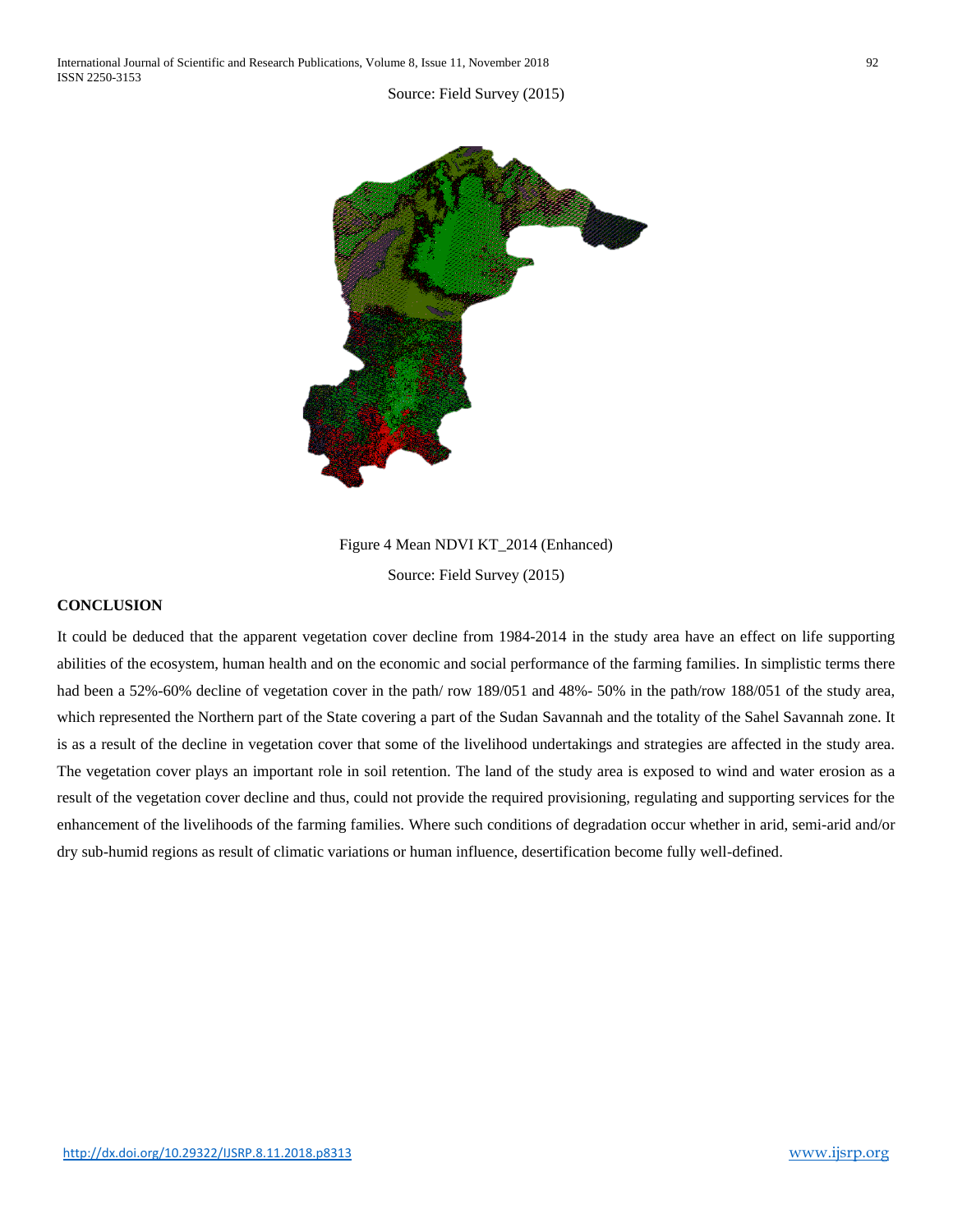

Figure 4 Mean NDVI KT\_2014 (Enhanced) Source: Field Survey (2015)

#### **CONCLUSION**

It could be deduced that the apparent vegetation cover decline from 1984-2014 in the study area have an effect on life supporting abilities of the ecosystem, human health and on the economic and social performance of the farming families. In simplistic terms there had been a 52%-60% decline of vegetation cover in the path/row 189/051 and 48%- 50% in the path/row 188/051 of the study area, which represented the Northern part of the State covering a part of the Sudan Savannah and the totality of the Sahel Savannah zone. It is as a result of the decline in vegetation cover that some of the livelihood undertakings and strategies are affected in the study area. The vegetation cover plays an important role in soil retention. The land of the study area is exposed to wind and water erosion as a result of the vegetation cover decline and thus, could not provide the required provisioning, regulating and supporting services for the enhancement of the livelihoods of the farming families. Where such conditions of degradation occur whether in arid, semi-arid and/or dry sub-humid regions as result of climatic variations or human influence, desertification become fully well-defined.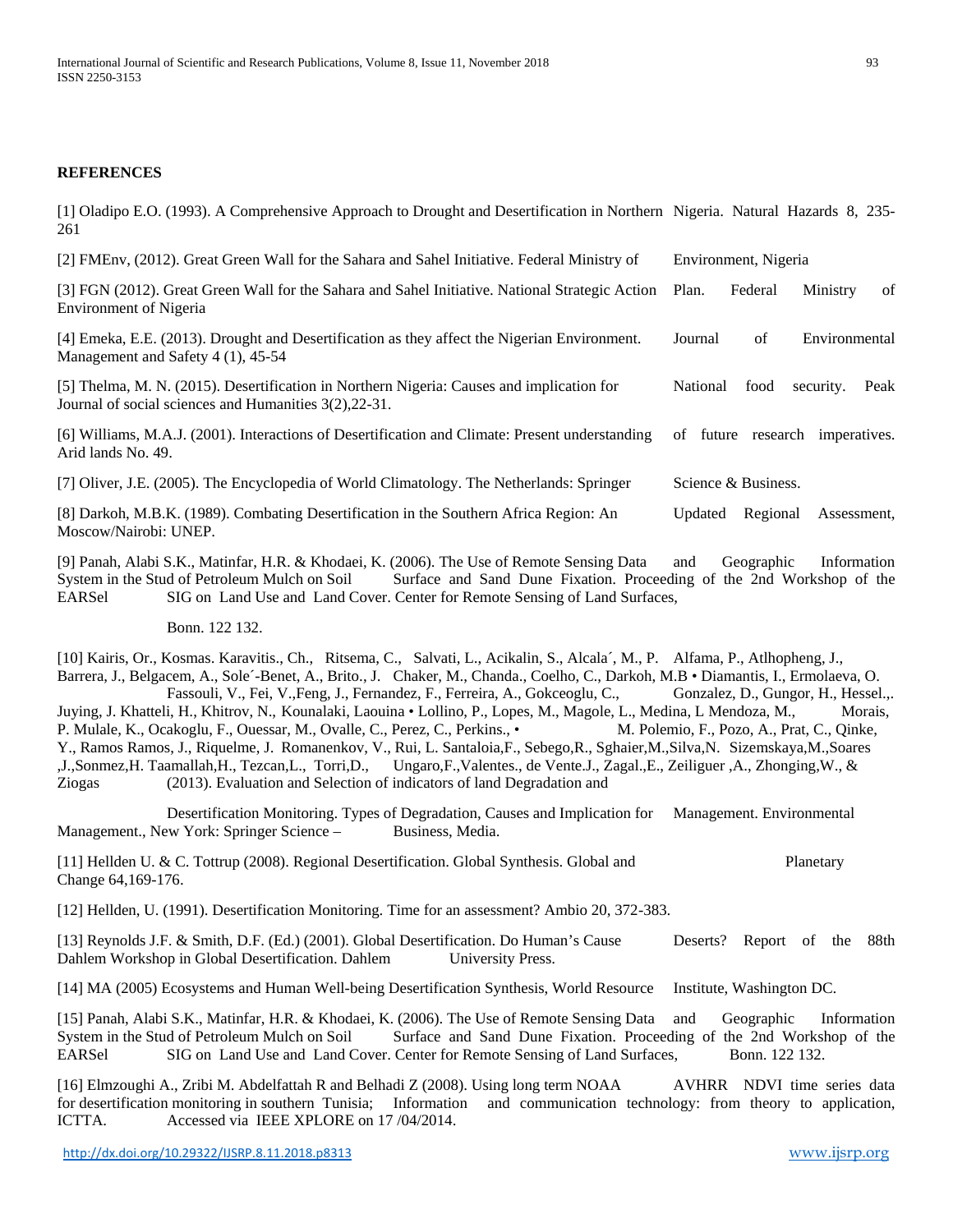## **REFERENCES**

[1] Oladipo E.O. (1993). A Comprehensive Approach to Drought and Desertification in Northern Nigeria. Natural Hazards 8, 235- 261 [2] FMEnv, (2012). Great Green Wall for the Sahara and Sahel Initiative. Federal Ministry of Environment, Nigeria [3] FGN (2012). Great Green Wall for the Sahara and Sahel Initiative. National Strategic Action Plan. Federal Ministry of Environment of Nigeria [4] Emeka, E.E. (2013). Drought and Desertification as they affect the Nigerian Environment. Journal of Environmental Management and Safety 4 (1), 45-54 [5] Thelma, M. N. (2015). Desertification in Northern Nigeria: Causes and implication for National food security. Peak Journal of social sciences and Humanities 3(2),22-31. [6] Williams, M.A.J. (2001). Interactions of Desertification and Climate: Present understanding of future research imperatives. Arid lands No. 49. [7] Oliver, J.E. (2005). The Encyclopedia of World Climatology. The Netherlands: Springer Science & Business. [8] Darkoh, M.B.K. (1989). Combating Desertification in the Southern Africa Region: An Updated Regional Assessment, Moscow/Nairobi: UNEP.

[9] Panah, Alabi S.K., Matinfar, H.R. & Khodaei, K. (2006). The Use of Remote Sensing Data and Geographic Information System in the Stud of Petroleum Mulch on Soil Surface and Sand Dune Fixation. Proceeding of the 2nd Workshop of the EARSel SIG on Land Use and Land Cover. Center for Remote Sensing of Land Surfaces. SIG on Land Use and Land Cover. Center for Remote Sensing of Land Surfaces,

Bonn. 122 132.

[10] Kairis, Or., Kosmas. Karavitis., Ch., Ritsema, C., Salvati, L., Acikalin, S., Alcala´, M., P. Alfama, P., Atlhopheng, J., Barrera, J., Belgacem, A., Sole´-Benet, A., Brito., J. Chaker, M., Chanda., Coelho, C., Darkoh, M.B • Diamantis, I., Ermolaeva, O. Fassouli, V., Fei, V.,Feng, J., Fernandez, F., Ferreira, A., Gokceoglu, C., Gonzalez, D., Gungor, H., Hessel.,. Juying, J. Khatteli, H., Khitrov, N., Kounalaki, Laouina • Lollino, P., Lopes, M., Magole, L., Medina, L Mendoza, M., Morais, P. Mulale, K., Ocakoglu, F., Ouessar, M., Ovalle, C., Perez, C., Perkins., • M. Polemio, F., Pozo, A., Prat, C., Qinke, Y., Ramos Ramos, J., Riquelme, J. Romanenkov, V., Rui, L. Santaloia,F., Sebego,R., Sghaier,M.,Silva,N. Sizemskaya,M.,Soares ,J.,Sonmez,H. Taamallah,H., Tezcan,L., Torri,D., Ungaro,F.,Valentes., de Vente.J., Zagal.,E., Zeiliguer ,A., Zhonging,W., & Ziogas (2013). Evaluation and Selection of indicators of land Degradation and

Desertification Monitoring. Types of Degradation, Causes and Implication for Management. Environmental Management., New York: Springer Science – Business, Media.

[11] Hellden U. & C. Tottrup (2008). Regional Desertification. Global Synthesis. Global and Planetary Change 64,169-176.

[12] Hellden, U. (1991). Desertification Monitoring. Time for an assessment? Ambio 20, 372-383.

[13] Reynolds J.F. & Smith, D.F. (Ed.) (2001). Global Desertification. Do Human's Cause Deserts? Report of the 88th Dahlem Workshop in Global Desertification. Dahlem University Press.

[14] MA (2005) Ecosystems and Human Well-being Desertification Synthesis, World Resource Institute, Washington DC.

[15] Panah, Alabi S.K., Matinfar, H.R. & Khodaei, K. (2006). The Use of Remote Sensing Data and Geographic Information System in the Stud of Petroleum Mulch on Soil Surface and Sand Dune Fixation. Proceeding of the 2nd Workshop of the EARSel SIG on Land Use and Land Cover. Center for Remote Sensing of Land Surfaces. Bonn. 122 132. SIG on Land Use and Land Cover. Center for Remote Sensing of Land Surfaces, Bonn. 122 132.

[16] Elmzoughi A., Zribi M. Abdelfattah R and Belhadi Z (2008). Using long term NOAA AVHRR NDVI time series data for desertification monitoring in southern Tunisia; Information and communication technology: from theory to application, ICTTA. Accessed via IEEE XPLORE on 17 /04/2014.